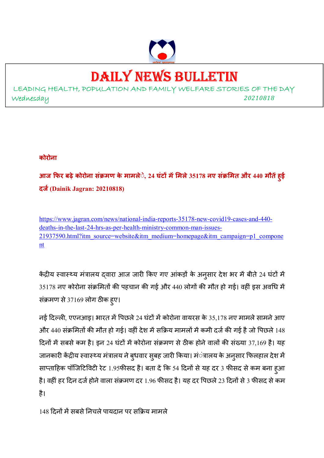

# DAILY NEWS BULLETIN

LEADING HEALTH, POPULATION AND FAMILY WELFARE STORIES OF THE DAY Wednesday *<sup>20210818</sup>*

# **कोरोना**

**आज फर बढ़ेकोरोना संमण के मामले◌े, 24 घंट ममले 35178 नए संमत और 440 मौतहुई दज" (Dainik Jagran: 20210818)** 

https://www.jagran.com/news/national-india-reports-35178-new-covid19-cases-and-440 deaths-in-the-last-24-hrs-as-per-health-ministry-common-man-issues-21937590.html?itm\_source=website&itm\_medium=homepage&itm\_campaign=p1\_compone nt

केंद्रीय स्वास्थ्य मंत्रालय द्वारा आज जारी किए गए आकड़ों के अनुसार देश भर में बीते 24 घंटों में 35178 नए कोरोना संक्रमितों की पहचान की गई और 440 लोगों की मौत हो गई। वहीं इस अवधि में संक्रमण से 37169 लोग ठीक हुए।

नई दिल्ली, एएनआइ। भारत में पिछले 24 घंटों में कोरोना वायरस के 35,178 नए मामले सामने आए और 440 संक्रमितों की मौत हो गई। वहीं देश में सक्रिय मामलों में कमी दर्ज की गई है जो पिछले 148 दिनों में सबसे कम है। इन 24 घंटों में कोरोना संक्रमण से ठीक होने वालों की संख्या 37,169 है। यह जानकारी केंद्रीय स्वास्थ्य मंत्रालय ने बुधवार सुबह जारी किया। म**ंत्रालय के अनुसार फिलहाल देश** में | साप्ताहिक पॉजिटिविटी रेट 1.95फीसद है। बता दें कि 54 दिनों से यह दर 3 फीसद से कम बना हुआ है। वहीं हर दिन दर्ज होने वाला संक्रमण दर 1.96 फीसद है। यह दर पिछले 23 दिनों से 3 फीसद से कम है।

148 दिनों में सबसे निचले पायदान पर सक्रिय मामले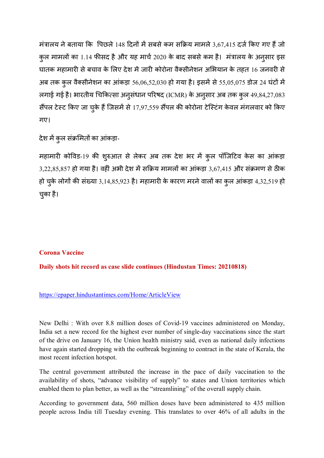मंत्रालय ने बताया कि पिछले 148 दिनों में सबसे कम सक्रिय मामले 3,67,415 दर्ज किए गए हैं जो कुल मामलों का 1.14 फीसद है और यह मार्च 2020 के बाद सबसे कम है। मंत्रालय के अनुसार इस घातक महामारी से बचाव के लिए देश में जारी कोरोना वैक्सीनेशन अभियान के तहत 16 जनवरी से अब तक कुल वैक्सीनेशन का आंकड़ा 56,06,52,030 हो गया है। इसमें से 55,05,075 डोज 24 घंटों में लगाई गई है। भारतीय चिकित्सा अनुसंधान परिषद (ICMR) के अनुसार अब तक कुल 49,84,27,083 सैंपल टेस्ट किए जा चुके हैं जिसमें से 17,97,559 सैंपल की कोरोना टेस्टिंग केवल मंगलवार को किए गए।

देश में कुल संक्रमितों का आंकड़ा-

महामारी कोविड-19 की शुरुआत से लेकर अब तक देश भर में कुल पॉजिटिव केस का आंकड़ा  $3,22,85,857$  हो गया है। वहीं अभी देश में सक्रिय मामलों का आंकड़ा 3,67,415 और संक्रमण से ठीक हो चुके लोगों की संख्या 3,14,85,923 है। महामारी के कारण मरने वालों का कुल आंकड़ा 4,32,519 हो चुका है।

# **Corona Vaccine**

**Daily shots hit record as case slide continues (Hindustan Times: 20210818)** 

https://epaper.hindustantimes.com/Home/ArticleView

New Delhi : With over 8.8 million doses of Covid-19 vaccines administered on Monday, India set a new record for the highest ever number of single-day vaccinations since the start of the drive on January 16, the Union health ministry said, even as national daily infections have again started dropping with the outbreak beginning to contract in the state of Kerala, the most recent infection hotspot.

The central government attributed the increase in the pace of daily vaccination to the availability of shots, "advance visibility of supply" to states and Union territories which enabled them to plan better, as well as the "streamlining" of the overall supply chain.

According to government data, 560 million doses have been administered to 435 million people across India till Tuesday evening. This translates to over 46% of all adults in the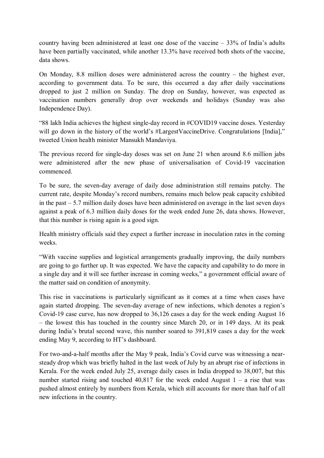country having been administered at least one dose of the vaccine – 33% of India's adults have been partially vaccinated, while another 13.3% have received both shots of the vaccine, data shows.

On Monday, 8.8 million doses were administered across the country – the highest ever, according to government data. To be sure, this occurred a day after daily vaccinations dropped to just 2 million on Sunday. The drop on Sunday, however, was expected as vaccination numbers generally drop over weekends and holidays (Sunday was also Independence Day).

"88 lakh India achieves the highest single-day record in #COVID19 vaccine doses. Yesterday will go down in the history of the world's #LargestVaccineDrive. Congratulations [India]," tweeted Union health minister Mansukh Mandaviya.

The previous record for single-day doses was set on June 21 when around 8.6 million jabs were administered after the new phase of universalisation of Covid-19 vaccination commenced.

To be sure, the seven-day average of daily dose administration still remains patchy. The current rate, despite Monday's record numbers, remains much below peak capacity exhibited in the past  $-5.7$  million daily doses have been administered on average in the last seven days against a peak of 6.3 million daily doses for the week ended June 26, data shows. However, that this number is rising again is a good sign.

Health ministry officials said they expect a further increase in inoculation rates in the coming weeks.

"With vaccine supplies and logistical arrangements gradually improving, the daily numbers are going to go further up. It was expected. We have the capacity and capability to do more in a single day and it will see further increase in coming weeks," a government official aware of the matter said on condition of anonymity.

This rise in vaccinations is particularly significant as it comes at a time when cases have again started dropping. The seven-day average of new infections, which denotes a region's Covid-19 case curve, has now dropped to 36,126 cases a day for the week ending August 16 – the lowest this has touched in the country since March 20, or in 149 days. At its peak during India's brutal second wave, this number soared to 391,819 cases a day for the week ending May 9, according to HT's dashboard.

For two-and-a-half months after the May 9 peak, India's Covid curve was witnessing a nearsteady drop which was briefly halted in the last week of July by an abrupt rise of infections in Kerala. For the week ended July 25, average daily cases in India dropped to 38,007, but this number started rising and touched  $40,817$  for the week ended August 1 – a rise that was pushed almost entirely by numbers from Kerala, which still accounts for more than half of all new infections in the country.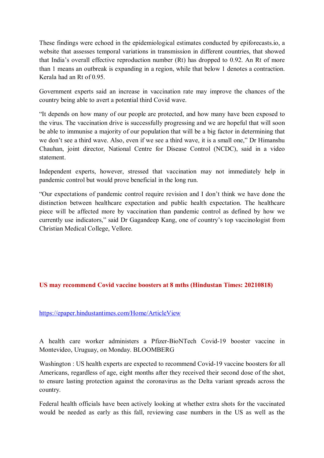These findings were echoed in the epidemiological estimates conducted by epiforecasts.io, a website that assesses temporal variations in transmission in different countries, that showed that India's overall effective reproduction number (Rt) has dropped to 0.92. An Rt of more than 1 means an outbreak is expanding in a region, while that below 1 denotes a contraction. Kerala had an Rt of 0.95.

Government experts said an increase in vaccination rate may improve the chances of the country being able to avert a potential third Covid wave.

"It depends on how many of our people are protected, and how many have been exposed to the virus. The vaccination drive is successfully progressing and we are hopeful that will soon be able to immunise a majority of our population that will be a big factor in determining that we don't see a third wave. Also, even if we see a third wave, it is a small one," Dr Himanshu Chauhan, joint director, National Centre for Disease Control (NCDC), said in a video statement.

Independent experts, however, stressed that vaccination may not immediately help in pandemic control but would prove beneficial in the long run.

"Our expectations of pandemic control require revision and I don't think we have done the distinction between healthcare expectation and public health expectation. The healthcare piece will be affected more by vaccination than pandemic control as defined by how we currently use indicators," said Dr Gagandeep Kang, one of country's top vaccinologist from Christian Medical College, Vellore.

# **US may recommend Covid vaccine boosters at 8 mths (Hindustan Times: 20210818)**

# https://epaper.hindustantimes.com/Home/ArticleView

A health care worker administers a Pfizer-BioNTech Covid-19 booster vaccine in Montevideo, Uruguay, on Monday. BLOOMBERG

Washington : US health experts are expected to recommend Covid-19 vaccine boosters for all Americans, regardless of age, eight months after they received their second dose of the shot, to ensure lasting protection against the coronavirus as the Delta variant spreads across the country.

Federal health officials have been actively looking at whether extra shots for the vaccinated would be needed as early as this fall, reviewing case numbers in the US as well as the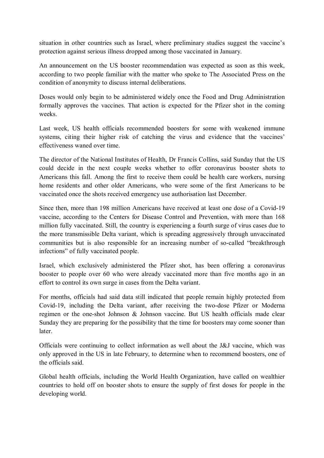situation in other countries such as Israel, where preliminary studies suggest the vaccine's protection against serious illness dropped among those vaccinated in January.

An announcement on the US booster recommendation was expected as soon as this week, according to two people familiar with the matter who spoke to The Associated Press on the condition of anonymity to discuss internal deliberations.

Doses would only begin to be administered widely once the Food and Drug Administration formally approves the vaccines. That action is expected for the Pfizer shot in the coming weeks.

Last week, US health officials recommended boosters for some with weakened immune systems, citing their higher risk of catching the virus and evidence that the vaccines' effectiveness waned over time.

The director of the National Institutes of Health, Dr Francis Collins, said Sunday that the US could decide in the next couple weeks whether to offer coronavirus booster shots to Americans this fall. Among the first to receive them could be health care workers, nursing home residents and other older Americans, who were some of the first Americans to be vaccinated once the shots received emergency use authorisation last December.

Since then, more than 198 million Americans have received at least one dose of a Covid-19 vaccine, according to the Centers for Disease Control and Prevention, with more than 168 million fully vaccinated. Still, the country is experiencing a fourth surge of virus cases due to the more transmissible Delta variant, which is spreading aggressively through unvaccinated communities but is also responsible for an increasing number of so-called "breakthrough infections" of fully vaccinated people.

Israel, which exclusively administered the Pfizer shot, has been offering a coronavirus booster to people over 60 who were already vaccinated more than five months ago in an effort to control its own surge in cases from the Delta variant.

For months, officials had said data still indicated that people remain highly protected from Covid-19, including the Delta variant, after receiving the two-dose Pfizer or Moderna regimen or the one-shot Johnson & Johnson vaccine. But US health officials made clear Sunday they are preparing for the possibility that the time for boosters may come sooner than later.

Officials were continuing to collect information as well about the J&J vaccine, which was only approved in the US in late February, to determine when to recommend boosters, one of the officials said.

Global health officials, including the World Health Organization, have called on wealthier countries to hold off on booster shots to ensure the supply of first doses for people in the developing world.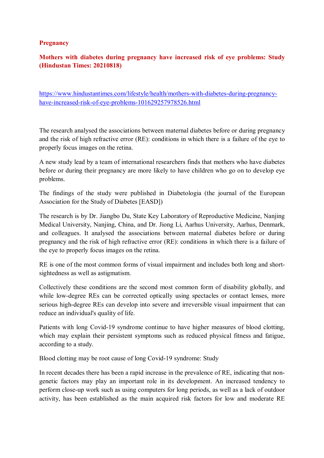#### **Pregnancy**

# **Mothers with diabetes during pregnancy have increased risk of eye problems: Study (Hindustan Times: 20210818)**

https://www.hindustantimes.com/lifestyle/health/mothers-with-diabetes-during-pregnancyhave-increased-risk-of-eye-problems-101629257978526.html

The research analysed the associations between maternal diabetes before or during pregnancy and the risk of high refractive error (RE): conditions in which there is a failure of the eye to properly focus images on the retina.

A new study lead by a team of international researchers finds that mothers who have diabetes before or during their pregnancy are more likely to have children who go on to develop eye problems.

The findings of the study were published in Diabetologia (the journal of the European Association for the Study of Diabetes [EASD])

The research is by Dr. Jiangbo Du, State Key Laboratory of Reproductive Medicine, Nanjing Medical University, Nanjing, China, and Dr. Jiong Li, Aarhus University, Aarhus, Denmark, and colleagues. It analysed the associations between maternal diabetes before or during pregnancy and the risk of high refractive error (RE): conditions in which there is a failure of the eye to properly focus images on the retina.

RE is one of the most common forms of visual impairment and includes both long and shortsightedness as well as astigmatism.

Collectively these conditions are the second most common form of disability globally, and while low-degree REs can be corrected optically using spectacles or contact lenses, more serious high-degree REs can develop into severe and irreversible visual impairment that can reduce an individual's quality of life.

Patients with long Covid-19 syndrome continue to have higher measures of blood clotting, which may explain their persistent symptoms such as reduced physical fitness and fatigue, according to a study.

Blood clotting may be root cause of long Covid-19 syndrome: Study

In recent decades there has been a rapid increase in the prevalence of RE, indicating that nongenetic factors may play an important role in its development. An increased tendency to perform close-up work such as using computers for long periods, as well as a lack of outdoor activity, has been established as the main acquired risk factors for low and moderate RE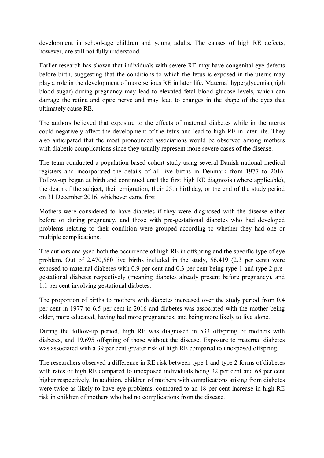development in school-age children and young adults. The causes of high RE defects, however, are still not fully understood.

Earlier research has shown that individuals with severe RE may have congenital eye defects before birth, suggesting that the conditions to which the fetus is exposed in the uterus may play a role in the development of more serious RE in later life. Maternal hyperglycemia (high blood sugar) during pregnancy may lead to elevated fetal blood glucose levels, which can damage the retina and optic nerve and may lead to changes in the shape of the eyes that ultimately cause RE.

The authors believed that exposure to the effects of maternal diabetes while in the uterus could negatively affect the development of the fetus and lead to high RE in later life. They also anticipated that the most pronounced associations would be observed among mothers with diabetic complications since they usually represent more severe cases of the disease.

The team conducted a population-based cohort study using several Danish national medical registers and incorporated the details of all live births in Denmark from 1977 to 2016. Follow-up began at birth and continued until the first high RE diagnosis (where applicable), the death of the subject, their emigration, their 25th birthday, or the end of the study period on 31 December 2016, whichever came first.

Mothers were considered to have diabetes if they were diagnosed with the disease either before or during pregnancy, and those with pre-gestational diabetes who had developed problems relating to their condition were grouped according to whether they had one or multiple complications.

The authors analysed both the occurrence of high RE in offspring and the specific type of eye problem. Out of 2,470,580 live births included in the study, 56,419 (2.3 per cent) were exposed to maternal diabetes with 0.9 per cent and 0.3 per cent being type 1 and type 2 pregestational diabetes respectively (meaning diabetes already present before pregnancy), and 1.1 per cent involving gestational diabetes.

The proportion of births to mothers with diabetes increased over the study period from 0.4 per cent in 1977 to 6.5 per cent in 2016 and diabetes was associated with the mother being older, more educated, having had more pregnancies, and being more likely to live alone.

During the follow-up period, high RE was diagnosed in 533 offspring of mothers with diabetes, and 19,695 offspring of those without the disease. Exposure to maternal diabetes was associated with a 39 per cent greater risk of high RE compared to unexposed offspring.

The researchers observed a difference in RE risk between type 1 and type 2 forms of diabetes with rates of high RE compared to unexposed individuals being 32 per cent and 68 per cent higher respectively. In addition, children of mothers with complications arising from diabetes were twice as likely to have eye problems, compared to an 18 per cent increase in high RE risk in children of mothers who had no complications from the disease.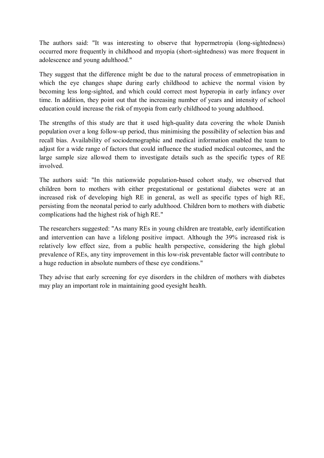The authors said: "It was interesting to observe that hypermetropia (long-sightedness) occurred more frequently in childhood and myopia (short-sightedness) was more frequent in adolescence and young adulthood."

They suggest that the difference might be due to the natural process of emmetropisation in which the eye changes shape during early childhood to achieve the normal vision by becoming less long-sighted, and which could correct most hyperopia in early infancy over time. In addition, they point out that the increasing number of years and intensity of school education could increase the risk of myopia from early childhood to young adulthood.

The strengths of this study are that it used high-quality data covering the whole Danish population over a long follow-up period, thus minimising the possibility of selection bias and recall bias. Availability of sociodemographic and medical information enabled the team to adjust for a wide range of factors that could influence the studied medical outcomes, and the large sample size allowed them to investigate details such as the specific types of RE involved.

The authors said: "In this nationwide population-based cohort study, we observed that children born to mothers with either pregestational or gestational diabetes were at an increased risk of developing high RE in general, as well as specific types of high RE, persisting from the neonatal period to early adulthood. Children born to mothers with diabetic complications had the highest risk of high RE."

The researchers suggested: "As many REs in young children are treatable, early identification and intervention can have a lifelong positive impact. Although the 39% increased risk is relatively low effect size, from a public health perspective, considering the high global prevalence of REs, any tiny improvement in this low-risk preventable factor will contribute to a huge reduction in absolute numbers of these eye conditions."

They advise that early screening for eye disorders in the children of mothers with diabetes may play an important role in maintaining good eyesight health.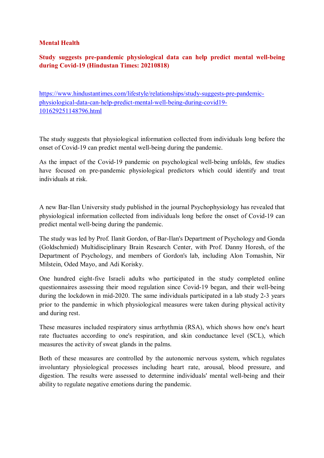#### **Mental Health**

# **Study suggests pre-pandemic physiological data can help predict mental well-being during Covid-19 (Hindustan Times: 20210818)**

https://www.hindustantimes.com/lifestyle/relationships/study-suggests-pre-pandemicphysiological-data-can-help-predict-mental-well-being-during-covid19- 101629251148796.html

The study suggests that physiological information collected from individuals long before the onset of Covid-19 can predict mental well-being during the pandemic.

As the impact of the Covid-19 pandemic on psychological well-being unfolds, few studies have focused on pre-pandemic physiological predictors which could identify and treat individuals at risk.

A new Bar-Ilan University study published in the journal Psychophysiology has revealed that physiological information collected from individuals long before the onset of Covid-19 can predict mental well-being during the pandemic.

The study was led by Prof. Ilanit Gordon, of Bar-Ilan's Department of Psychology and Gonda (Goldschmied) Multidisciplinary Brain Research Center, with Prof. Danny Horesh, of the Department of Psychology, and members of Gordon's lab, including Alon Tomashin, Nir Milstein, Oded Mayo, and Adi Korisky.

One hundred eight-five Israeli adults who participated in the study completed online questionnaires assessing their mood regulation since Covid-19 began, and their well-being during the lockdown in mid-2020. The same individuals participated in a lab study 2-3 years prior to the pandemic in which physiological measures were taken during physical activity and during rest.

These measures included respiratory sinus arrhythmia (RSA), which shows how one's heart rate fluctuates according to one's respiration, and skin conductance level (SCL), which measures the activity of sweat glands in the palms.

Both of these measures are controlled by the autonomic nervous system, which regulates involuntary physiological processes including heart rate, arousal, blood pressure, and digestion. The results were assessed to determine individuals' mental well-being and their ability to regulate negative emotions during the pandemic.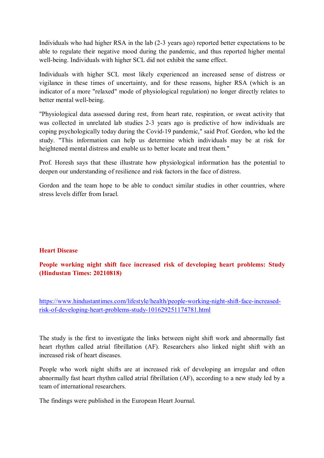Individuals who had higher RSA in the lab (2-3 years ago) reported better expectations to be able to regulate their negative mood during the pandemic, and thus reported higher mental well-being. Individuals with higher SCL did not exhibit the same effect.

Individuals with higher SCL most likely experienced an increased sense of distress or vigilance in these times of uncertainty, and for these reasons, higher RSA (which is an indicator of a more "relaxed" mode of physiological regulation) no longer directly relates to better mental well-being.

"Physiological data assessed during rest, from heart rate, respiration, or sweat activity that was collected in unrelated lab studies 2-3 years ago is predictive of how individuals are coping psychologically today during the Covid-19 pandemic," said Prof. Gordon, who led the study. "This information can help us determine which individuals may be at risk for heightened mental distress and enable us to better locate and treat them."

Prof. Horesh says that these illustrate how physiological information has the potential to deepen our understanding of resilience and risk factors in the face of distress.

Gordon and the team hope to be able to conduct similar studies in other countries, where stress levels differ from Israel.

#### **Heart Disease**

# **People working night shift face increased risk of developing heart problems: Study (Hindustan Times: 20210818)**

https://www.hindustantimes.com/lifestyle/health/people-working-night-shift-face-increasedrisk-of-developing-heart-problems-study-101629251174781.html

The study is the first to investigate the links between night shift work and abnormally fast heart rhythm called atrial fibrillation (AF). Researchers also linked night shift with an increased risk of heart diseases.

People who work night shifts are at increased risk of developing an irregular and often abnormally fast heart rhythm called atrial fibrillation (AF), according to a new study led by a team of international researchers.

The findings were published in the European Heart Journal.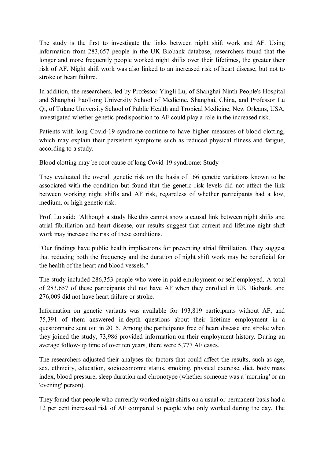The study is the first to investigate the links between night shift work and AF. Using information from 283,657 people in the UK Biobank database, researchers found that the longer and more frequently people worked night shifts over their lifetimes, the greater their risk of AF. Night shift work was also linked to an increased risk of heart disease, but not to stroke or heart failure.

In addition, the researchers, led by Professor Yingli Lu, of Shanghai Ninth People's Hospital and Shanghai JiaoTong University School of Medicine, Shanghai, China, and Professor Lu Qi, of Tulane University School of Public Health and Tropical Medicine, New Orleans, USA, investigated whether genetic predisposition to AF could play a role in the increased risk.

Patients with long Covid-19 syndrome continue to have higher measures of blood clotting, which may explain their persistent symptoms such as reduced physical fitness and fatigue, according to a study.

Blood clotting may be root cause of long Covid-19 syndrome: Study

They evaluated the overall genetic risk on the basis of 166 genetic variations known to be associated with the condition but found that the genetic risk levels did not affect the link between working night shifts and AF risk, regardless of whether participants had a low, medium, or high genetic risk.

Prof. Lu said: "Although a study like this cannot show a causal link between night shifts and atrial fibrillation and heart disease, our results suggest that current and lifetime night shift work may increase the risk of these conditions.

"Our findings have public health implications for preventing atrial fibrillation. They suggest that reducing both the frequency and the duration of night shift work may be beneficial for the health of the heart and blood vessels."

The study included 286,353 people who were in paid employment or self-employed. A total of 283,657 of these participants did not have AF when they enrolled in UK Biobank, and 276,009 did not have heart failure or stroke.

Information on genetic variants was available for 193,819 participants without AF, and 75,391 of them answered in-depth questions about their lifetime employment in a questionnaire sent out in 2015. Among the participants free of heart disease and stroke when they joined the study, 73,986 provided information on their employment history. During an average follow-up time of over ten years, there were 5,777 AF cases.

The researchers adjusted their analyses for factors that could affect the results, such as age, sex, ethnicity, education, socioeconomic status, smoking, physical exercise, diet, body mass index, blood pressure, sleep duration and chronotype (whether someone was a 'morning' or an 'evening' person).

They found that people who currently worked night shifts on a usual or permanent basis had a 12 per cent increased risk of AF compared to people who only worked during the day. The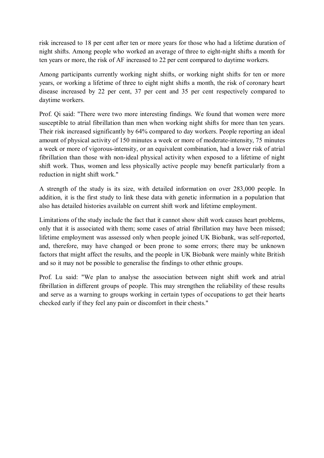risk increased to 18 per cent after ten or more years for those who had a lifetime duration of night shifts. Among people who worked an average of three to eight-night shifts a month for ten years or more, the risk of AF increased to 22 per cent compared to daytime workers.

Among participants currently working night shifts, or working night shifts for ten or more years, or working a lifetime of three to eight night shifts a month, the risk of coronary heart disease increased by 22 per cent, 37 per cent and 35 per cent respectively compared to daytime workers.

Prof. Qi said: "There were two more interesting findings. We found that women were more susceptible to atrial fibrillation than men when working night shifts for more than ten years. Their risk increased significantly by 64% compared to day workers. People reporting an ideal amount of physical activity of 150 minutes a week or more of moderate-intensity, 75 minutes a week or more of vigorous-intensity, or an equivalent combination, had a lower risk of atrial fibrillation than those with non-ideal physical activity when exposed to a lifetime of night shift work. Thus, women and less physically active people may benefit particularly from a reduction in night shift work."

A strength of the study is its size, with detailed information on over 283,000 people. In addition, it is the first study to link these data with genetic information in a population that also has detailed histories available on current shift work and lifetime employment.

Limitations of the study include the fact that it cannot show shift work causes heart problems, only that it is associated with them; some cases of atrial fibrillation may have been missed; lifetime employment was assessed only when people joined UK Biobank, was self-reported, and, therefore, may have changed or been prone to some errors; there may be unknown factors that might affect the results, and the people in UK Biobank were mainly white British and so it may not be possible to generalise the findings to other ethnic groups.

Prof. Lu said: "We plan to analyse the association between night shift work and atrial fibrillation in different groups of people. This may strengthen the reliability of these results and serve as a warning to groups working in certain types of occupations to get their hearts checked early if they feel any pain or discomfort in their chests."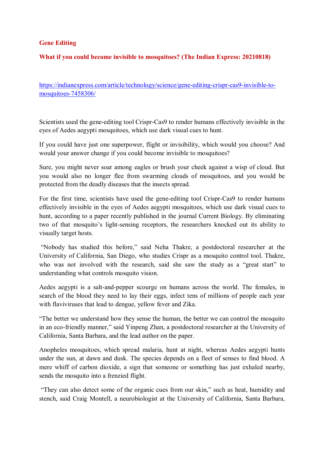#### **Gene Editing**

## **What if you could become invisible to mosquitoes? (The Indian Express: 20210818)**

https://indianexpress.com/article/technology/science/gene-editing-crispr-cas9-invisible-tomosquitoes-7458306/

Scientists used the gene-editing tool Crispr-Cas9 to render humans effectively invisible in the eyes of Aedes aegypti mosquitoes, which use dark visual cues to hunt.

If you could have just one superpower, flight or invisibility, which would you choose? And would your answer change if you could become invisible to mosquitoes?

Sure, you might never soar among eagles or brush your cheek against a wisp of cloud. But you would also no longer flee from swarming clouds of mosquitoes, and you would be protected from the deadly diseases that the insects spread.

For the first time, scientists have used the gene-editing tool Crispr-Cas9 to render humans effectively invisible in the eyes of Aedes aegypti mosquitoes, which use dark visual cues to hunt, according to a paper recently published in the journal Current Biology. By eliminating two of that mosquito's light-sensing receptors, the researchers knocked out its ability to visually target hosts.

 "Nobody has studied this before," said Neha Thakre, a postdoctoral researcher at the University of California, San Diego, who studies Crispr as a mosquito control tool. Thakre, who was not involved with the research, said she saw the study as a "great start" to understanding what controls mosquito vision.

Aedes aegypti is a salt-and-pepper scourge on humans across the world. The females, in search of the blood they need to lay their eggs, infect tens of millions of people each year with flaviviruses that lead to dengue, yellow fever and Zika.

"The better we understand how they sense the human, the better we can control the mosquito in an eco-friendly manner," said Yinpeng Zhan, a postdoctoral researcher at the University of California, Santa Barbara, and the lead author on the paper.

Anopheles mosquitoes, which spread malaria, hunt at night, whereas Aedes aegypti hunts under the sun, at dawn and dusk. The species depends on a fleet of senses to find blood. A mere whiff of carbon dioxide, a sign that someone or something has just exhaled nearby, sends the mosquito into a frenzied flight.

 "They can also detect some of the organic cues from our skin," such as heat, humidity and stench, said Craig Montell, a neurobiologist at the University of California, Santa Barbara,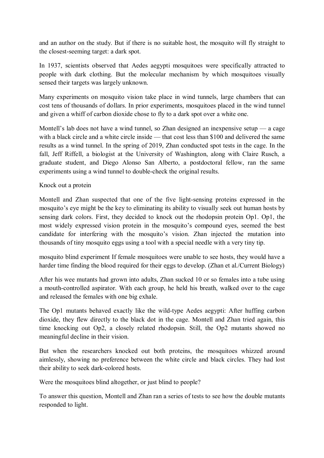and an author on the study. But if there is no suitable host, the mosquito will fly straight to the closest-seeming target: a dark spot.

In 1937, scientists observed that Aedes aegypti mosquitoes were specifically attracted to people with dark clothing. But the molecular mechanism by which mosquitoes visually sensed their targets was largely unknown.

Many experiments on mosquito vision take place in wind tunnels, large chambers that can cost tens of thousands of dollars. In prior experiments, mosquitoes placed in the wind tunnel and given a whiff of carbon dioxide chose to fly to a dark spot over a white one.

Montell's lab does not have a wind tunnel, so Zhan designed an inexpensive setup — a cage with a black circle and a white circle inside — that cost less than \$100 and delivered the same results as a wind tunnel. In the spring of 2019, Zhan conducted spot tests in the cage. In the fall, Jeff Riffell, a biologist at the University of Washington, along with Claire Rusch, a graduate student, and Diego Alonso San Alberto, a postdoctoral fellow, ran the same experiments using a wind tunnel to double-check the original results.

## Knock out a protein

Montell and Zhan suspected that one of the five light-sensing proteins expressed in the mosquito's eye might be the key to eliminating its ability to visually seek out human hosts by sensing dark colors. First, they decided to knock out the rhodopsin protein Op1. Op1, the most widely expressed vision protein in the mosquito's compound eyes, seemed the best candidate for interfering with the mosquito's vision. Zhan injected the mutation into thousands of tiny mosquito eggs using a tool with a special needle with a very tiny tip.

mosquito blind experiment If female mosquitoes were unable to see hosts, they would have a harder time finding the blood required for their eggs to develop. (Zhan et al./Current Biology)

After his wee mutants had grown into adults, Zhan sucked 10 or so females into a tube using a mouth-controlled aspirator. With each group, he held his breath, walked over to the cage and released the females with one big exhale.

The Op1 mutants behaved exactly like the wild-type Aedes aegypti: After huffing carbon dioxide, they flew directly to the black dot in the cage. Montell and Zhan tried again, this time knocking out Op2, a closely related rhodopsin. Still, the Op2 mutants showed no meaningful decline in their vision.

But when the researchers knocked out both proteins, the mosquitoes whizzed around aimlessly, showing no preference between the white circle and black circles. They had lost their ability to seek dark-colored hosts.

Were the mosquitoes blind altogether, or just blind to people?

To answer this question, Montell and Zhan ran a series of tests to see how the double mutants responded to light.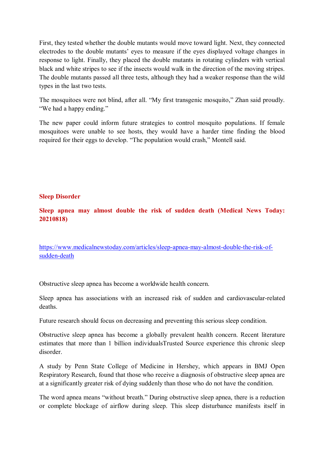First, they tested whether the double mutants would move toward light. Next, they connected electrodes to the double mutants' eyes to measure if the eyes displayed voltage changes in response to light. Finally, they placed the double mutants in rotating cylinders with vertical black and white stripes to see if the insects would walk in the direction of the moving stripes. The double mutants passed all three tests, although they had a weaker response than the wild types in the last two tests.

The mosquitoes were not blind, after all. "My first transgenic mosquito," Zhan said proudly. "We had a happy ending."

The new paper could inform future strategies to control mosquito populations. If female mosquitoes were unable to see hosts, they would have a harder time finding the blood required for their eggs to develop. "The population would crash," Montell said.

#### **Sleep Disorder**

**Sleep apnea may almost double the risk of sudden death (Medical News Today: 20210818)** 

https://www.medicalnewstoday.com/articles/sleep-apnea-may-almost-double-the-risk-ofsudden-death

Obstructive sleep apnea has become a worldwide health concern.

Sleep apnea has associations with an increased risk of sudden and cardiovascular-related deaths.

Future research should focus on decreasing and preventing this serious sleep condition.

Obstructive sleep apnea has become a globally prevalent health concern. Recent literature estimates that more than 1 billion individualsTrusted Source experience this chronic sleep disorder.

A study by Penn State College of Medicine in Hershey, which appears in BMJ Open Respiratory Research, found that those who receive a diagnosis of obstructive sleep apnea are at a significantly greater risk of dying suddenly than those who do not have the condition.

The word apnea means "without breath." During obstructive sleep apnea, there is a reduction or complete blockage of airflow during sleep. This sleep disturbance manifests itself in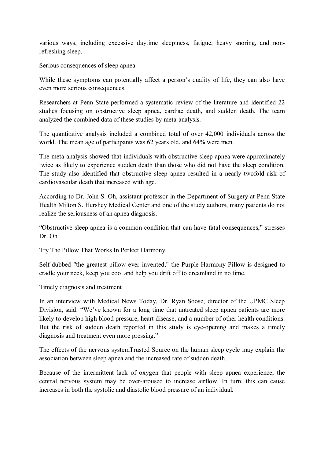various ways, including excessive daytime sleepiness, fatigue, heavy snoring, and nonrefreshing sleep.

Serious consequences of sleep apnea

While these symptoms can potentially affect a person's quality of life, they can also have even more serious consequences.

Researchers at Penn State performed a systematic review of the literature and identified 22 studies focusing on obstructive sleep apnea, cardiac death, and sudden death. The team analyzed the combined data of these studies by meta-analysis.

The quantitative analysis included a combined total of over 42,000 individuals across the world. The mean age of participants was 62 years old, and 64% were men.

The meta-analysis showed that individuals with obstructive sleep apnea were approximately twice as likely to experience sudden death than those who did not have the sleep condition. The study also identified that obstructive sleep apnea resulted in a nearly twofold risk of cardiovascular death that increased with age.

According to Dr. John S. Oh, assistant professor in the Department of Surgery at Penn State Health Milton S. Hershey Medical Center and one of the study authors, many patients do not realize the seriousness of an apnea diagnosis.

"Obstructive sleep apnea is a common condition that can have fatal consequences," stresses Dr. Oh.

Try The Pillow That Works In Perfect Harmony

Self-dubbed "the greatest pillow ever invented," the Purple Harmony Pillow is designed to cradle your neck, keep you cool and help you drift off to dreamland in no time.

Timely diagnosis and treatment

In an interview with Medical News Today, Dr. Ryan Soose, director of the UPMC Sleep Division, said: "We've known for a long time that untreated sleep apnea patients are more likely to develop high blood pressure, heart disease, and a number of other health conditions. But the risk of sudden death reported in this study is eye-opening and makes a timely diagnosis and treatment even more pressing."

The effects of the nervous systemTrusted Source on the human sleep cycle may explain the association between sleep apnea and the increased rate of sudden death.

Because of the intermittent lack of oxygen that people with sleep apnea experience, the central nervous system may be over-aroused to increase airflow. In turn, this can cause increases in both the systolic and diastolic blood pressure of an individual.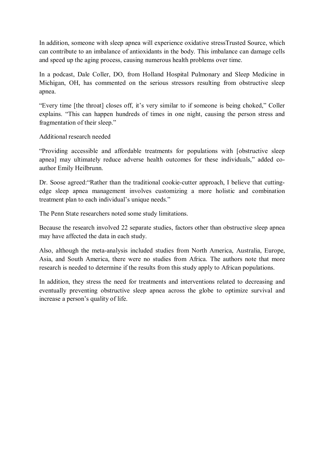In addition, someone with sleep apnea will experience oxidative stressTrusted Source, which can contribute to an imbalance of antioxidants in the body. This imbalance can damage cells and speed up the aging process, causing numerous health problems over time.

In a podcast, Dale Coller, DO, from Holland Hospital Pulmonary and Sleep Medicine in Michigan, OH, has commented on the serious stressors resulting from obstructive sleep apnea.

"Every time [the throat] closes off, it's very similar to if someone is being choked," Coller explains. "This can happen hundreds of times in one night, causing the person stress and fragmentation of their sleep."

Additional research needed

"Providing accessible and affordable treatments for populations with [obstructive sleep apnea] may ultimately reduce adverse health outcomes for these individuals," added coauthor Emily Heilbrunn.

Dr. Soose agreed:"Rather than the traditional cookie-cutter approach, I believe that cuttingedge sleep apnea management involves customizing a more holistic and combination treatment plan to each individual's unique needs."

The Penn State researchers noted some study limitations.

Because the research involved 22 separate studies, factors other than obstructive sleep apnea may have affected the data in each study.

Also, although the meta-analysis included studies from North America, Australia, Europe, Asia, and South America, there were no studies from Africa. The authors note that more research is needed to determine if the results from this study apply to African populations.

In addition, they stress the need for treatments and interventions related to decreasing and eventually preventing obstructive sleep apnea across the globe to optimize survival and increase a person's quality of life.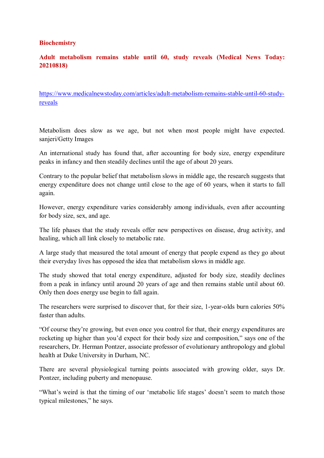#### **Biochemistry**

## **Adult metabolism remains stable until 60, study reveals (Medical News Today: 20210818)**

https://www.medicalnewstoday.com/articles/adult-metabolism-remains-stable-until-60-studyreveals

Metabolism does slow as we age, but not when most people might have expected. sanjeri/Getty Images

An international study has found that, after accounting for body size, energy expenditure peaks in infancy and then steadily declines until the age of about 20 years.

Contrary to the popular belief that metabolism slows in middle age, the research suggests that energy expenditure does not change until close to the age of 60 years, when it starts to fall again.

However, energy expenditure varies considerably among individuals, even after accounting for body size, sex, and age.

The life phases that the study reveals offer new perspectives on disease, drug activity, and healing, which all link closely to metabolic rate.

A large study that measured the total amount of energy that people expend as they go about their everyday lives has opposed the idea that metabolism slows in middle age.

The study showed that total energy expenditure, adjusted for body size, steadily declines from a peak in infancy until around 20 years of age and then remains stable until about 60. Only then does energy use begin to fall again.

The researchers were surprised to discover that, for their size, 1-year-olds burn calories 50% faster than adults.

"Of course they're growing, but even once you control for that, their energy expenditures are rocketing up higher than you'd expect for their body size and composition," says one of the researchers, Dr. Herman Pontzer, associate professor of evolutionary anthropology and global health at Duke University in Durham, NC.

There are several physiological turning points associated with growing older, says Dr. Pontzer, including puberty and menopause.

"What's weird is that the timing of our 'metabolic life stages' doesn't seem to match those typical milestones," he says.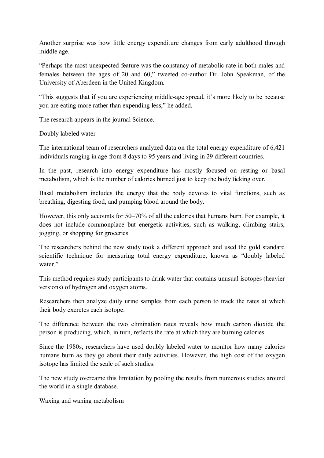Another surprise was how little energy expenditure changes from early adulthood through middle age.

"Perhaps the most unexpected feature was the constancy of metabolic rate in both males and females between the ages of 20 and 60," tweeted co-author Dr. John Speakman, of the University of Aberdeen in the United Kingdom.

"This suggests that if you are experiencing middle-age spread, it's more likely to be because you are eating more rather than expending less," he added.

The research appears in the journal Science.

## Doubly labeled water

The international team of researchers analyzed data on the total energy expenditure of 6,421 individuals ranging in age from 8 days to 95 years and living in 29 different countries.

In the past, research into energy expenditure has mostly focused on resting or basal metabolism, which is the number of calories burned just to keep the body ticking over.

Basal metabolism includes the energy that the body devotes to vital functions, such as breathing, digesting food, and pumping blood around the body.

However, this only accounts for 50–70% of all the calories that humans burn. For example, it does not include commonplace but energetic activities, such as walking, climbing stairs, jogging, or shopping for groceries.

The researchers behind the new study took a different approach and used the gold standard scientific technique for measuring total energy expenditure, known as "doubly labeled water."

This method requires study participants to drink water that contains unusual isotopes (heavier versions) of hydrogen and oxygen atoms.

Researchers then analyze daily urine samples from each person to track the rates at which their body excretes each isotope.

The difference between the two elimination rates reveals how much carbon dioxide the person is producing, which, in turn, reflects the rate at which they are burning calories.

Since the 1980s, researchers have used doubly labeled water to monitor how many calories humans burn as they go about their daily activities. However, the high cost of the oxygen isotope has limited the scale of such studies.

The new study overcame this limitation by pooling the results from numerous studies around the world in a single database.

Waxing and waning metabolism